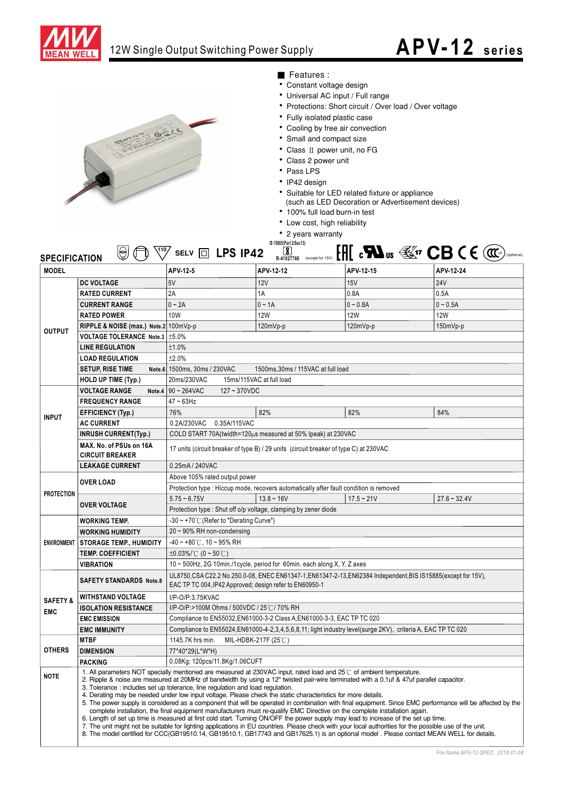

## 12W Single Output Switching Power Supply

## **APV-12 series**



## ■ Features :

- Constant voltage design
- Universal AC input / Full range
- Protections: Short circuit / Over load / Over voltage
- Fully isolated plastic case
- Cooling by free air convection
- Small and compact size
- Class II power unit, no FG
- Class 2 power unit
- $\cdot$  Pass LPS
- IP42 design
- 
- Suitable for LED related fixture or appliance<br>(such as LED Decoration or Advertisement devices)
- 100% full load burn-in test
- Low cost, high reliability
- 2 years warranty

| IS 15885(Part 2/Sec13)<br>$[H]$ c $\mathbf{M}$ us $\mathbb{E}^{n}$ CB C E $(\mathfrak{m})$<br>$\sqrt[110]{}$ selv $\boxed{0}$ LPS IP42<br>$\left[\color{red}\right]$<br>⊌<br>(optional)<br><b>SPECIFICATION</b><br>R-41027766 (except for 15V) |                                                                                                                                                                                                                                                                                                                                                                                                                                                                                                                                                                                                                                                                                                                                                                                                                                                                                                                                                                                                                                                                                                                                                                                                           |                                                                                                                                                                            |              |              |                |
|------------------------------------------------------------------------------------------------------------------------------------------------------------------------------------------------------------------------------------------------|-----------------------------------------------------------------------------------------------------------------------------------------------------------------------------------------------------------------------------------------------------------------------------------------------------------------------------------------------------------------------------------------------------------------------------------------------------------------------------------------------------------------------------------------------------------------------------------------------------------------------------------------------------------------------------------------------------------------------------------------------------------------------------------------------------------------------------------------------------------------------------------------------------------------------------------------------------------------------------------------------------------------------------------------------------------------------------------------------------------------------------------------------------------------------------------------------------------|----------------------------------------------------------------------------------------------------------------------------------------------------------------------------|--------------|--------------|----------------|
| <b>MODEL</b>                                                                                                                                                                                                                                   |                                                                                                                                                                                                                                                                                                                                                                                                                                                                                                                                                                                                                                                                                                                                                                                                                                                                                                                                                                                                                                                                                                                                                                                                           | APV-12-5                                                                                                                                                                   | APV-12-12    | APV-12-15    | APV-12-24      |
| <b>OUTPUT</b>                                                                                                                                                                                                                                  | <b>DC VOLTAGE</b>                                                                                                                                                                                                                                                                                                                                                                                                                                                                                                                                                                                                                                                                                                                                                                                                                                                                                                                                                                                                                                                                                                                                                                                         | 5V                                                                                                                                                                         | 12V          | 15V          | <b>24V</b>     |
|                                                                                                                                                                                                                                                | <b>RATED CURRENT</b>                                                                                                                                                                                                                                                                                                                                                                                                                                                                                                                                                                                                                                                                                                                                                                                                                                                                                                                                                                                                                                                                                                                                                                                      | 2A                                                                                                                                                                         | 1A           | 0.8A         | 0.5A           |
|                                                                                                                                                                                                                                                | <b>CURRENT RANGE</b>                                                                                                                                                                                                                                                                                                                                                                                                                                                                                                                                                                                                                                                                                                                                                                                                                                                                                                                                                                                                                                                                                                                                                                                      | $0 - 2A$                                                                                                                                                                   | $0 - 1A$     | $0 - 0.8A$   | $0 - 0.5A$     |
|                                                                                                                                                                                                                                                | <b>RATED POWER</b>                                                                                                                                                                                                                                                                                                                                                                                                                                                                                                                                                                                                                                                                                                                                                                                                                                                                                                                                                                                                                                                                                                                                                                                        | 10W                                                                                                                                                                        | 12W          | 12W          | <b>12W</b>     |
|                                                                                                                                                                                                                                                | RIPPLE & NOISE (max.) Note.2 100mVp-p                                                                                                                                                                                                                                                                                                                                                                                                                                                                                                                                                                                                                                                                                                                                                                                                                                                                                                                                                                                                                                                                                                                                                                     |                                                                                                                                                                            | $120mVp-p$   | $120mVp-p$   | $150mVp-p$     |
|                                                                                                                                                                                                                                                | VOLTAGE TOLERANCE Note.3   ±5.0%                                                                                                                                                                                                                                                                                                                                                                                                                                                                                                                                                                                                                                                                                                                                                                                                                                                                                                                                                                                                                                                                                                                                                                          |                                                                                                                                                                            |              |              |                |
|                                                                                                                                                                                                                                                | <b>LINE REGULATION</b>                                                                                                                                                                                                                                                                                                                                                                                                                                                                                                                                                                                                                                                                                                                                                                                                                                                                                                                                                                                                                                                                                                                                                                                    | ±1.0%                                                                                                                                                                      |              |              |                |
|                                                                                                                                                                                                                                                | <b>LOAD REGULATION</b>                                                                                                                                                                                                                                                                                                                                                                                                                                                                                                                                                                                                                                                                                                                                                                                                                                                                                                                                                                                                                                                                                                                                                                                    | ±2.0%                                                                                                                                                                      |              |              |                |
|                                                                                                                                                                                                                                                | <b>SETUP, RISE TIME</b>                                                                                                                                                                                                                                                                                                                                                                                                                                                                                                                                                                                                                                                                                                                                                                                                                                                                                                                                                                                                                                                                                                                                                                                   | Note.6 1500ms, 30ms / 230VAC<br>1500ms, 30ms / 115VAC at full load                                                                                                         |              |              |                |
|                                                                                                                                                                                                                                                | HOLD UP TIME (Typ.)                                                                                                                                                                                                                                                                                                                                                                                                                                                                                                                                                                                                                                                                                                                                                                                                                                                                                                                                                                                                                                                                                                                                                                                       | 20ms/230VAC<br>15ms/115VAC at full load                                                                                                                                    |              |              |                |
|                                                                                                                                                                                                                                                | <b>VOLTAGE RANGE</b><br>Note.4                                                                                                                                                                                                                                                                                                                                                                                                                                                                                                                                                                                                                                                                                                                                                                                                                                                                                                                                                                                                                                                                                                                                                                            | 90~264VAC<br>$127 - 370VDC$                                                                                                                                                |              |              |                |
| <b>INPUT</b>                                                                                                                                                                                                                                   | <b>FREQUENCY RANGE</b>                                                                                                                                                                                                                                                                                                                                                                                                                                                                                                                                                                                                                                                                                                                                                                                                                                                                                                                                                                                                                                                                                                                                                                                    | $47 - 63$ Hz                                                                                                                                                               |              |              |                |
|                                                                                                                                                                                                                                                | <b>EFFICIENCY (Typ.)</b>                                                                                                                                                                                                                                                                                                                                                                                                                                                                                                                                                                                                                                                                                                                                                                                                                                                                                                                                                                                                                                                                                                                                                                                  | 76%                                                                                                                                                                        | 82%          | 82%          | 84%            |
|                                                                                                                                                                                                                                                | <b>AC CURRENT</b>                                                                                                                                                                                                                                                                                                                                                                                                                                                                                                                                                                                                                                                                                                                                                                                                                                                                                                                                                                                                                                                                                                                                                                                         | 0.2A/230VAC<br>0.35A/115VAC                                                                                                                                                |              |              |                |
|                                                                                                                                                                                                                                                | <b>INRUSH CURRENT(Typ.)</b>                                                                                                                                                                                                                                                                                                                                                                                                                                                                                                                                                                                                                                                                                                                                                                                                                                                                                                                                                                                                                                                                                                                                                                               | COLD START 70A(twidth=120 $\mu$ s measured at 50% Ipeak) at 230VAC                                                                                                         |              |              |                |
|                                                                                                                                                                                                                                                | MAX. No. of PSUs on 16A<br>17 units (circuit breaker of type B) / 29 units (circuit breaker of type C) at 230VAC<br><b>CIRCUIT BREAKER</b>                                                                                                                                                                                                                                                                                                                                                                                                                                                                                                                                                                                                                                                                                                                                                                                                                                                                                                                                                                                                                                                                |                                                                                                                                                                            |              |              |                |
|                                                                                                                                                                                                                                                | 0.25mA / 240VAC<br><b>LEAKAGE CURRENT</b>                                                                                                                                                                                                                                                                                                                                                                                                                                                                                                                                                                                                                                                                                                                                                                                                                                                                                                                                                                                                                                                                                                                                                                 |                                                                                                                                                                            |              |              |                |
| <b>PROTECTION</b>                                                                                                                                                                                                                              |                                                                                                                                                                                                                                                                                                                                                                                                                                                                                                                                                                                                                                                                                                                                                                                                                                                                                                                                                                                                                                                                                                                                                                                                           | Above 105% rated output power                                                                                                                                              |              |              |                |
|                                                                                                                                                                                                                                                | <b>OVER LOAD</b>                                                                                                                                                                                                                                                                                                                                                                                                                                                                                                                                                                                                                                                                                                                                                                                                                                                                                                                                                                                                                                                                                                                                                                                          | Protection type : Hiccup mode, recovers automatically after fault condition is removed                                                                                     |              |              |                |
|                                                                                                                                                                                                                                                | <b>OVER VOLTAGE</b>                                                                                                                                                                                                                                                                                                                                                                                                                                                                                                                                                                                                                                                                                                                                                                                                                                                                                                                                                                                                                                                                                                                                                                                       | $5.75 - 6.75V$                                                                                                                                                             | $13.8 - 16V$ | $17.5 - 21V$ | $27.6 - 32.4V$ |
|                                                                                                                                                                                                                                                |                                                                                                                                                                                                                                                                                                                                                                                                                                                                                                                                                                                                                                                                                                                                                                                                                                                                                                                                                                                                                                                                                                                                                                                                           | Protection type: Shut off o/p voltage, clamping by zener diode                                                                                                             |              |              |                |
| <b>ENVIRONMENT</b>                                                                                                                                                                                                                             | <b>WORKING TEMP.</b>                                                                                                                                                                                                                                                                                                                                                                                                                                                                                                                                                                                                                                                                                                                                                                                                                                                                                                                                                                                                                                                                                                                                                                                      | -30 ~ +70°C (Refer to "Derating Curve")                                                                                                                                    |              |              |                |
|                                                                                                                                                                                                                                                | <b>WORKING HUMIDITY</b>                                                                                                                                                                                                                                                                                                                                                                                                                                                                                                                                                                                                                                                                                                                                                                                                                                                                                                                                                                                                                                                                                                                                                                                   | $20 \sim 90\%$ RH non-condensing                                                                                                                                           |              |              |                |
|                                                                                                                                                                                                                                                | <b>STORAGE TEMP., HUMIDITY</b>                                                                                                                                                                                                                                                                                                                                                                                                                                                                                                                                                                                                                                                                                                                                                                                                                                                                                                                                                                                                                                                                                                                                                                            | $-40 \sim +80^{\circ}$ C, 10 ~ 95% RH                                                                                                                                      |              |              |                |
|                                                                                                                                                                                                                                                | <b>TEMP. COEFFICIENT</b>                                                                                                                                                                                                                                                                                                                                                                                                                                                                                                                                                                                                                                                                                                                                                                                                                                                                                                                                                                                                                                                                                                                                                                                  | $\pm 0.03\%$ (0 ~ 50°C)                                                                                                                                                    |              |              |                |
|                                                                                                                                                                                                                                                | VIBRATION                                                                                                                                                                                                                                                                                                                                                                                                                                                                                                                                                                                                                                                                                                                                                                                                                                                                                                                                                                                                                                                                                                                                                                                                 | 10 ~ 500Hz, 2G 10min./1cycle, period for 60min. each along X, Y, Z axes                                                                                                    |              |              |                |
|                                                                                                                                                                                                                                                | <b>SAFETY STANDARDS Note.8</b>                                                                                                                                                                                                                                                                                                                                                                                                                                                                                                                                                                                                                                                                                                                                                                                                                                                                                                                                                                                                                                                                                                                                                                            | UL8750, CSA C22.2 No.250.0-08, ENEC EN61347-1, EN61347-2-13, EN62384 Independent, BIS IS15885 (except for 15V),<br>EAC TP TC 004, IP42 Approved; design refer to EN60950-1 |              |              |                |
| <b>SAFETY &amp;</b><br><b>EMC</b>                                                                                                                                                                                                              | <b>WITHSTAND VOLTAGE</b>                                                                                                                                                                                                                                                                                                                                                                                                                                                                                                                                                                                                                                                                                                                                                                                                                                                                                                                                                                                                                                                                                                                                                                                  | I/P-O/P:3.75KVAC                                                                                                                                                           |              |              |                |
|                                                                                                                                                                                                                                                | <b>ISOLATION RESISTANCE</b>                                                                                                                                                                                                                                                                                                                                                                                                                                                                                                                                                                                                                                                                                                                                                                                                                                                                                                                                                                                                                                                                                                                                                                               | I/P-O/P:>100M Ohms / 500VDC / 25℃/70% RH                                                                                                                                   |              |              |                |
|                                                                                                                                                                                                                                                | <b>EMC EMISSION</b>                                                                                                                                                                                                                                                                                                                                                                                                                                                                                                                                                                                                                                                                                                                                                                                                                                                                                                                                                                                                                                                                                                                                                                                       | Compliance to EN55032.EN61000-3-2 Class A.EN61000-3-3, EAC TP TC 020                                                                                                       |              |              |                |
|                                                                                                                                                                                                                                                | <b>EMC IMMUNITY</b>                                                                                                                                                                                                                                                                                                                                                                                                                                                                                                                                                                                                                                                                                                                                                                                                                                                                                                                                                                                                                                                                                                                                                                                       | Compliance to EN55024, EN61000-4-2, 3, 4, 5, 6, 8, 11; light industry level(surge 2KV), criteria A, EAC TP TC 020                                                          |              |              |                |
| <b>OTHERS</b>                                                                                                                                                                                                                                  | <b>MTBF</b>                                                                                                                                                                                                                                                                                                                                                                                                                                                                                                                                                                                                                                                                                                                                                                                                                                                                                                                                                                                                                                                                                                                                                                                               | MIL-HDBK-217F (25℃)<br>1145.7K hrs min.                                                                                                                                    |              |              |                |
|                                                                                                                                                                                                                                                | <b>DIMENSION</b>                                                                                                                                                                                                                                                                                                                                                                                                                                                                                                                                                                                                                                                                                                                                                                                                                                                                                                                                                                                                                                                                                                                                                                                          | 77*40*29(L*W*H)                                                                                                                                                            |              |              |                |
|                                                                                                                                                                                                                                                | <b>PACKING</b>                                                                                                                                                                                                                                                                                                                                                                                                                                                                                                                                                                                                                                                                                                                                                                                                                                                                                                                                                                                                                                                                                                                                                                                            | 0.08Kg; 120pcs/11.8Kg/1.06CUFT                                                                                                                                             |              |              |                |
| <b>NOTE</b>                                                                                                                                                                                                                                    | 1. All parameters NOT specially mentioned are measured at 230VAC input, rated load and 25°C of ambient temperature.<br>2. Ripple & noise are measured at 20MHz of bandwidth by using a 12" twisted pair-wire terminated with a 0.1uf & 47uf parallel capacitor.<br>3. Tolerance: includes set up tolerance, line regulation and load regulation.<br>4. Derating may be needed under low input voltage. Please check the static characteristics for more details.<br>5. The power supply is considered as a component that will be operated in combination with final equipment. Since EMC performance will be affected by the<br>complete installation, the final equipment manufacturers must re-qualify EMC Directive on the complete installation again.<br>6. Length of set up time is measured at first cold start. Turning ON/OFF the power supply may lead to increase of the set up time.<br>7. The unit might not be suitable for lighting applications in EU countries. Please check with your local authorities for the possible use of the unit.<br>8. The model certified for CCC(GB19510.14, GB19510.1, GB17743 and GB17625.1) is an optional model . Please contact MEAN WELL for details. |                                                                                                                                                                            |              |              |                |